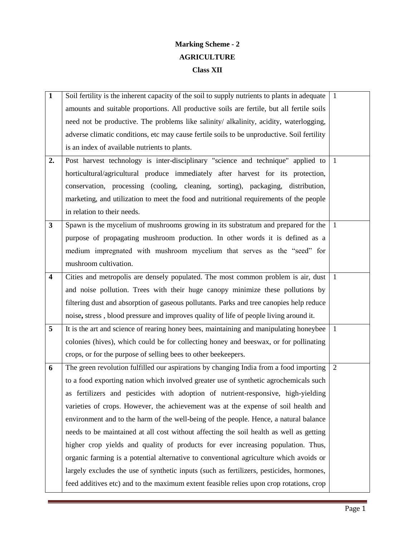# **Marking Scheme - 2 AGRICULTURE Class XII**

| $\mathbf{1}$            | Soil fertility is the inherent capacity of the soil to supply nutrients to plants in adequate | $\overline{1}$ |
|-------------------------|-----------------------------------------------------------------------------------------------|----------------|
|                         | amounts and suitable proportions. All productive soils are fertile, but all fertile soils     |                |
|                         | need not be productive. The problems like salinity/ alkalinity, acidity, waterlogging,        |                |
|                         | adverse climatic conditions, etc may cause fertile soils to be unproductive. Soil fertility   |                |
|                         | is an index of available nutrients to plants.                                                 |                |
| 2.                      | Post harvest technology is inter-disciplinary "science and technique" applied to              | $\overline{1}$ |
|                         | horticultural/agricultural produce immediately after harvest for its protection,              |                |
|                         | conservation, processing (cooling, cleaning, sorting), packaging, distribution,               |                |
|                         | marketing, and utilization to meet the food and nutritional requirements of the people        |                |
|                         | in relation to their needs.                                                                   |                |
| $\mathbf{3}$            | Spawn is the mycelium of mushrooms growing in its substratum and prepared for the             | -1             |
|                         | purpose of propagating mushroom production. In other words it is defined as a                 |                |
|                         | medium impregnated with mushroom mycelium that serves as the "seed" for                       |                |
|                         | mushroom cultivation.                                                                         |                |
| $\overline{\mathbf{4}}$ | Cities and metropolis are densely populated. The most common problem is air, dust $\mid$ 1    |                |
|                         | and noise pollution. Trees with their huge canopy minimize these pollutions by                |                |
|                         | filtering dust and absorption of gaseous pollutants. Parks and tree canopies help reduce      |                |
|                         | noise, stress, blood pressure and improves quality of life of people living around it.        |                |
| 5                       | It is the art and science of rearing honey bees, maintaining and manipulating honeybee        | $\overline{1}$ |
|                         | colonies (hives), which could be for collecting honey and beeswax, or for pollinating         |                |
|                         | crops, or for the purpose of selling bees to other beekeepers.                                |                |
| 6                       | The green revolution fulfilled our aspirations by changing India from a food importing        | 2              |
|                         | to a food exporting nation which involved greater use of synthetic agrochemicals such         |                |
|                         | as fertilizers and pesticides with adoption of nutrient-responsive, high-yielding             |                |
|                         | varieties of crops. However, the achievement was at the expense of soil health and            |                |
|                         | environment and to the harm of the well-being of the people. Hence, a natural balance         |                |
|                         | needs to be maintained at all cost without affecting the soil health as well as getting       |                |
|                         | higher crop yields and quality of products for ever increasing population. Thus,              |                |
|                         | organic farming is a potential alternative to conventional agriculture which avoids or        |                |
|                         | largely excludes the use of synthetic inputs (such as fertilizers, pesticides, hormones,      |                |
|                         | feed additives etc) and to the maximum extent feasible relies upon crop rotations, crop       |                |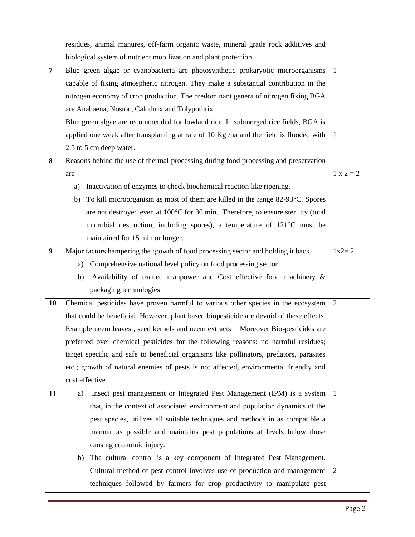|                | residues, animal manures, off-farm organic waste, mineral grade rock additives and       |                |
|----------------|------------------------------------------------------------------------------------------|----------------|
|                | biological system of nutrient mobilization and plant protection.                         |                |
| $\overline{7}$ | Blue green algae or cyanobacteria are photosynthetic prokaryotic microorganisms          | $\overline{1}$ |
|                | capable of fixing atmospheric nitrogen. They make a substantial contribution in the      |                |
|                | nitrogen economy of crop production. The predominant genera of nitrogen fixing BGA       |                |
|                | are Anabaena, Nostoc, Calothrix and Tolypothrix.                                         |                |
|                | Blue green algae are recommended for lowland rice. In submerged rice fields, BGA is      |                |
|                | applied one week after transplanting at rate of 10 Kg /ha and the field is flooded with  | - 1            |
|                | 2.5 to 5 cm deep water.                                                                  |                |
| 8              | Reasons behind the use of thermal processing during food processing and preservation     |                |
|                | are                                                                                      | $1 x 2 = 2$    |
|                | Inactivation of enzymes to check biochemical reaction like ripening.<br>a)               |                |
|                | To kill microorganism as most of them are killed in the range 82-93 °C. Spores<br>b)     |                |
|                | are not destroyed even at 100°C for 30 min. Therefore, to ensure sterility (total        |                |
|                | microbial destruction, including spores), a temperature of $121^{\circ}$ C must be       |                |
|                | maintained for 15 min or longer.                                                         |                |
| 9              | Major factors hampering the growth of food processing sector and holding it back.        | $1x2 = 2$      |
|                | Comprehensive national level policy on food processing sector<br>a)                      |                |
|                | Availability of trained manpower and Cost effective food machinery &<br>b)               |                |
|                | packaging technologies                                                                   |                |
| 10             | Chemical pesticides have proven harmful to various other species in the ecosystem        | 2              |
|                | that could be beneficial. However, plant based biopesticide are devoid of these effects. |                |
|                | Example neem leaves, seed kernels and neem extracts Moreover Bio-pesticides are          |                |
|                | preferred over chemical pesticides for the following reasons: no harmful residues;       |                |
|                | target specific and safe to beneficial organisms like pollinators, predators, parasites  |                |
|                | etc.; growth of natural enemies of pests is not affected, environmental friendly and     |                |
|                | cost effective                                                                           |                |
| 11             | Insect pest management or Integrated Pest Management (IPM) is a system<br>a)             | $\overline{1}$ |
|                | that, in the context of associated environment and population dynamics of the            |                |
|                | pest species, utilizes all suitable techniques and methods in as compatible a            |                |
|                | manner as possible and maintains pest populations at levels below those                  |                |
|                | causing economic injury.                                                                 |                |
|                | The cultural control is a key component of Integrated Pest Management.<br>b)             |                |
|                | Cultural method of pest control involves use of production and management                | 2              |
|                | techniques followed by farmers for crop productivity to manipulate pest                  |                |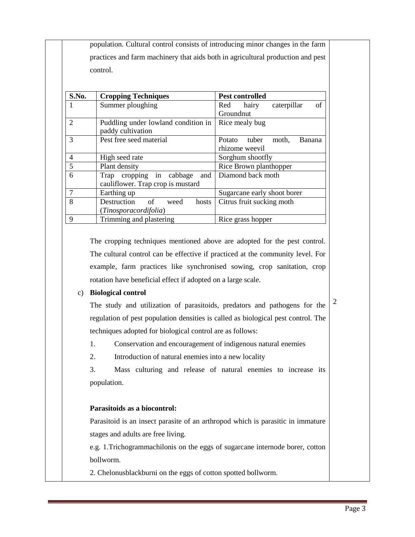| population. Cultural control consists of introducing minor changes in the farm  |
|---------------------------------------------------------------------------------|
| practices and farm machinery that aids both in agricultural production and pest |
| control.                                                                        |

| S.No.          | <b>Cropping Techniques</b>                               | <b>Pest controlled</b>             |
|----------------|----------------------------------------------------------|------------------------------------|
| 1              | Summer ploughing                                         | of<br>caterpillar<br>Red<br>hairy  |
|                |                                                          | Groundnut                          |
| $\overline{2}$ | Puddling under lowland condition in<br>paddy cultivation | Rice mealy bug                     |
| 3              | Pest free seed material                                  | Potato<br>tuber<br>moth,<br>Banana |
|                |                                                          | rhizome weevil                     |
| 4              | High seed rate                                           | Sorghum shootfly                   |
| 5              | Plant density                                            | Rice Brown planthopper             |
| 6              | Trap cropping in cabbage<br>and                          | Diamond back moth                  |
|                | cauliflower. Trap crop is mustard                        |                                    |
| 7              | Earthing up                                              | Sugarcane early shoot borer        |
| 8              | Destruction<br>of<br>hosts<br>weed                       | Citrus fruit sucking moth          |
|                | (Tinosporacordifolia)                                    |                                    |
| 9              | Trimming and plastering                                  | Rice grass hopper                  |

The cropping techniques mentioned above are adopted for the pest control. The cultural control can be effective if practiced at the community level. For example, farm practices like synchronised sowing, crop sanitation, crop rotation have beneficial effect if adopted on a large scale.

#### c) **Biological control**

The study and utilization of parasitoids, predators and pathogens for the regulation of pest population densities is called as biological pest control. The techniques adopted for biological control are as follows:

1. Conservation and encouragement of indigenous natural enemies

2. Introduction of natural enemies into a new locality

3. Mass culturing and release of natural enemies to increase its population.

#### **Parasitoids as a biocontrol:**

Parasitoid is an insect parasite of an arthropod which is parasitic in immature stages and adults are free living.

e.g. 1.Trichogrammachilonis on the eggs of sugarcane internode borer, cotton bollworm.

2. Chelonusblackburni on the eggs of cotton spotted bollworm.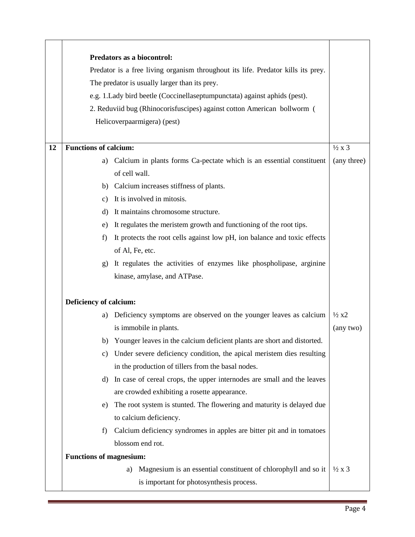|    | Predators as a biocontrol:                                                       |                        |
|----|----------------------------------------------------------------------------------|------------------------|
|    | Predator is a free living organism throughout its life. Predator kills its prey. |                        |
|    | The predator is usually larger than its prey.                                    |                        |
|    | e.g. 1. Lady bird beetle (Coccinellaseptumpunctata) against aphids (pest).       |                        |
|    | 2. Reduviid bug (Rhinocorisfuscipes) against cotton American bollworm (          |                        |
|    | Helicoverpaarmigera) (pest)                                                      |                        |
|    |                                                                                  |                        |
| 12 | <b>Functions of calcium:</b>                                                     | $\frac{1}{2} \times 3$ |
|    | Calcium in plants forms Ca-pectate which is an essential constituent<br>a)       | (any three)            |
|    | of cell wall.                                                                    |                        |
|    | Calcium increases stiffness of plants.<br>b)                                     |                        |
|    | It is involved in mitosis.<br>c)                                                 |                        |
|    | It maintains chromosome structure.<br>d)                                         |                        |
|    | It regulates the meristem growth and functioning of the root tips.<br>e)         |                        |
|    | It protects the root cells against low pH, ion balance and toxic effects<br>f    |                        |
|    | of Al, Fe, etc.                                                                  |                        |
|    | It regulates the activities of enzymes like phospholipase, arginine<br>g)        |                        |
|    | kinase, amylase, and ATPase.                                                     |                        |
|    |                                                                                  |                        |
|    | Deficiency of calcium:                                                           |                        |
|    | Deficiency symptoms are observed on the younger leaves as calcium<br>a)          | $\frac{1}{2}x^2$       |
|    | is immobile in plants.                                                           | (any two)              |
|    | b) Younger leaves in the calcium deficient plants are short and distorted.       |                        |
|    | Under severe deficiency condition, the apical meristem dies resulting<br>C)      |                        |
|    | in the production of tillers from the basal nodes.                               |                        |
|    | In case of cereal crops, the upper internodes are small and the leaves<br>d)     |                        |
|    | are crowded exhibiting a rosette appearance.                                     |                        |
|    | The root system is stunted. The flowering and maturity is delayed due<br>e)      |                        |
|    | to calcium deficiency.                                                           |                        |
|    | Calcium deficiency syndromes in apples are bitter pit and in tomatoes<br>f)      |                        |
|    | blossom end rot.                                                                 |                        |
|    | <b>Functions of magnesium:</b>                                                   |                        |
|    | Magnesium is an essential constituent of chlorophyll and so it<br>a)             | $\frac{1}{2} \times 3$ |
|    | is important for photosynthesis process.                                         |                        |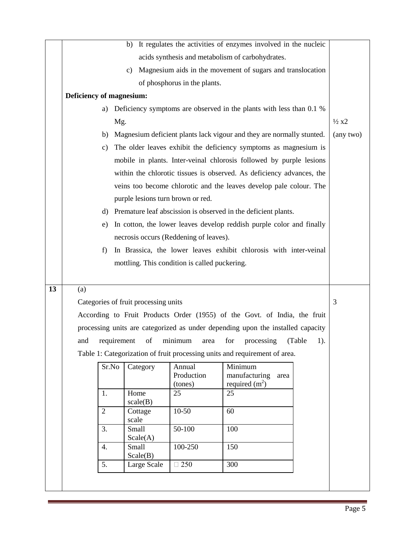|    |                          |             |                                      |                                               | b) It regulates the activities of enzymes involved in the nucleic               |                  |
|----|--------------------------|-------------|--------------------------------------|-----------------------------------------------|---------------------------------------------------------------------------------|------------------|
|    |                          |             |                                      |                                               | acids synthesis and metabolism of carbohydrates.                                |                  |
|    |                          |             | c)                                   |                                               | Magnesium aids in the movement of sugars and translocation                      |                  |
|    |                          |             |                                      | of phosphorus in the plants.                  |                                                                                 |                  |
|    | Deficiency of magnesium: |             |                                      |                                               |                                                                                 |                  |
|    | a)                       |             |                                      |                                               | Deficiency symptoms are observed in the plants with less than 0.1 %             |                  |
|    |                          | Mg.         |                                      |                                               |                                                                                 | $\frac{1}{2}x^2$ |
|    |                          |             |                                      |                                               | b) Magnesium deficient plants lack vigour and they are normally stunted.        | (any two)        |
|    | c)                       |             |                                      |                                               | The older leaves exhibit the deficiency symptoms as magnesium is                |                  |
|    |                          |             |                                      |                                               | mobile in plants. Inter-veinal chlorosis followed by purple lesions             |                  |
|    |                          |             |                                      |                                               | within the chlorotic tissues is observed. As deficiency advances, the           |                  |
|    |                          |             |                                      |                                               | veins too become chlorotic and the leaves develop pale colour. The              |                  |
|    |                          |             | purple lesions turn brown or red.    |                                               |                                                                                 |                  |
|    | d)                       |             |                                      |                                               | Premature leaf abscission is observed in the deficient plants.                  |                  |
|    | e)                       |             |                                      |                                               | In cotton, the lower leaves develop reddish purple color and finally            |                  |
|    |                          |             |                                      | necrosis occurs (Reddening of leaves).        |                                                                                 |                  |
|    | f)                       |             |                                      |                                               | In Brassica, the lower leaves exhibit chlorosis with inter-veinal               |                  |
|    |                          |             |                                      | mottling. This condition is called puckering. |                                                                                 |                  |
|    |                          |             |                                      |                                               |                                                                                 |                  |
| 13 | (a)                      |             |                                      |                                               |                                                                                 |                  |
|    |                          |             | Categories of fruit processing units |                                               |                                                                                 | 3                |
|    |                          |             |                                      |                                               | According to Fruit Products Order (1955) of the Govt. of India, the fruit       |                  |
|    |                          |             |                                      |                                               | processing units are categorized as under depending upon the installed capacity |                  |
|    | and                      | requirement | of                                   | minimum<br>area                               | for<br>(Table<br>processing                                                     | 1).              |
|    |                          |             |                                      |                                               | Table 1: Categorization of fruit processing units and requirement of area.      |                  |
|    |                          |             | Category                             | Annual                                        | Minimum                                                                         |                  |
|    |                          | Sr.No       |                                      |                                               |                                                                                 |                  |
|    |                          |             |                                      | Production                                    | manufacturing<br>area                                                           |                  |
|    |                          |             |                                      | (tones)                                       | required $(m2)$                                                                 |                  |
|    | 1.                       |             | Home<br>scale(B)                     | 25                                            | 25                                                                              |                  |
|    | $\overline{2}$           |             | Cottage                              | $10 - 50$                                     | 60                                                                              |                  |
|    | 3.                       |             | scale<br>Small                       | 50-100                                        | 100                                                                             |                  |
|    |                          |             | Scale(A)                             |                                               |                                                                                 |                  |
|    | 4.                       |             | <b>Small</b><br>Scale(B)             | 100-250                                       | 150                                                                             |                  |
|    | 5.                       |             | Large Scale                          | $\Box$ 250                                    | 300                                                                             |                  |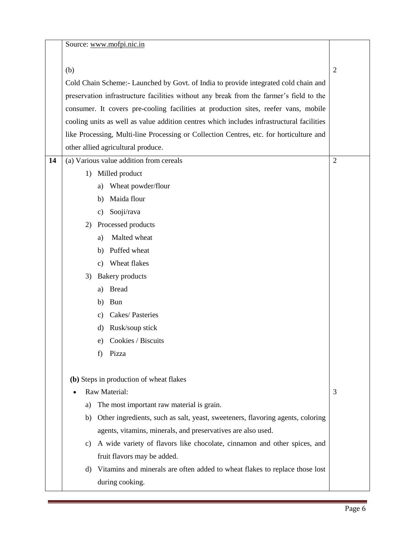|    |          | Source: www.mofpi.nic.in                                                                  |                |
|----|----------|-------------------------------------------------------------------------------------------|----------------|
|    | (b)      |                                                                                           | $\overline{2}$ |
|    |          | Cold Chain Scheme: - Launched by Govt. of India to provide integrated cold chain and      |                |
|    |          | preservation infrastructure facilities without any break from the farmer's field to the   |                |
|    |          | consumer. It covers pre-cooling facilities at production sites, reefer vans, mobile       |                |
|    |          | cooling units as well as value addition centres which includes infrastructural facilities |                |
|    |          | like Processing, Multi-line Processing or Collection Centres, etc. for horticulture and   |                |
|    |          | other allied agricultural produce.                                                        |                |
| 14 |          | (a) Various value addition from cereals                                                   | $\overline{2}$ |
|    | 1)       | Milled product                                                                            |                |
|    |          | Wheat powder/flour                                                                        |                |
|    | a)<br>b) | Maida flour                                                                               |                |
|    | c)       | Sooji/rava                                                                                |                |
|    |          | Processed products                                                                        |                |
|    | 2)<br>a) | Malted wheat                                                                              |                |
|    | b)       | Puffed wheat                                                                              |                |
|    |          | Wheat flakes                                                                              |                |
|    | C)<br>3) |                                                                                           |                |
|    |          | <b>Bakery</b> products<br><b>Bread</b>                                                    |                |
|    | a)       | <b>Bun</b>                                                                                |                |
|    | b)       | Cakes/Pasteries                                                                           |                |
|    | c)<br>d) | Rusk/soup stick                                                                           |                |
|    |          |                                                                                           |                |
|    | e)       | Cookies / Biscuits                                                                        |                |
|    | f)       | Pizza                                                                                     |                |
|    |          | (b) Steps in production of wheat flakes                                                   |                |
|    |          | Raw Material:                                                                             | 3              |
|    | a)       | The most important raw material is grain.                                                 |                |
|    | b)       | Other ingredients, such as salt, yeast, sweeteners, flavoring agents, coloring            |                |
|    |          | agents, vitamins, minerals, and preservatives are also used.                              |                |
|    | c)       | A wide variety of flavors like chocolate, cinnamon and other spices, and                  |                |
|    |          | fruit flavors may be added.                                                               |                |
|    | d)       | Vitamins and minerals are often added to wheat flakes to replace those lost               |                |
|    |          | during cooking.                                                                           |                |
|    |          |                                                                                           |                |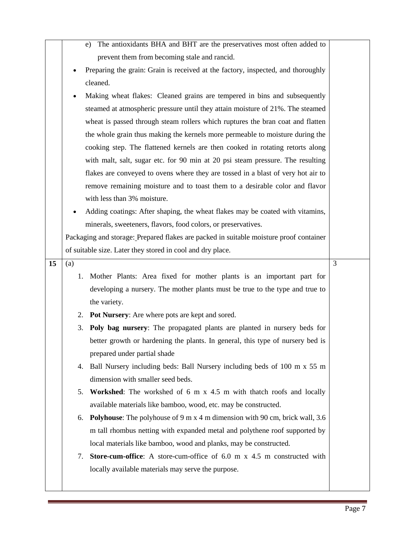|    |     | The antioxidants BHA and BHT are the preservatives most often added to<br>e)           |   |
|----|-----|----------------------------------------------------------------------------------------|---|
|    |     | prevent them from becoming stale and rancid.                                           |   |
|    |     | Preparing the grain: Grain is received at the factory, inspected, and thoroughly       |   |
|    |     | cleaned.                                                                               |   |
|    |     | Making wheat flakes: Cleaned grains are tempered in bins and subsequently              |   |
|    |     | steamed at atmospheric pressure until they attain moisture of 21%. The steamed         |   |
|    |     | wheat is passed through steam rollers which ruptures the bran coat and flatten         |   |
|    |     | the whole grain thus making the kernels more permeable to moisture during the          |   |
|    |     | cooking step. The flattened kernels are then cooked in rotating retorts along          |   |
|    |     | with malt, salt, sugar etc. for 90 min at 20 psi steam pressure. The resulting         |   |
|    |     | flakes are conveyed to ovens where they are tossed in a blast of very hot air to       |   |
|    |     | remove remaining moisture and to toast them to a desirable color and flavor            |   |
|    |     | with less than 3% moisture.                                                            |   |
|    |     | Adding coatings: After shaping, the wheat flakes may be coated with vitamins,          |   |
|    |     | minerals, sweeteners, flavors, food colors, or preservatives.                          |   |
|    |     | Packaging and storage: Prepared flakes are packed in suitable moisture proof container |   |
|    |     | of suitable size. Later they stored in cool and dry place.                             |   |
| 15 | (a) |                                                                                        | 3 |
|    | 1.  | Mother Plants: Area fixed for mother plants is an important part for                   |   |
|    |     | developing a nursery. The mother plants must be true to the type and true to           |   |
|    |     | the variety.                                                                           |   |
|    | 2.  | Pot Nursery: Are where pots are kept and sored.                                        |   |
|    | 3.  | <b>Poly bag nursery:</b> The propagated plants are planted in nursery beds for         |   |
|    |     | better growth or hardening the plants. In general, this type of nursery bed is         |   |
|    |     | prepared under partial shade                                                           |   |
|    | 4.  | Ball Nursery including beds: Ball Nursery including beds of 100 m x 55 m               |   |
|    |     | dimension with smaller seed beds.                                                      |   |
|    | 5.  | Workshed: The workshed of 6 m x 4.5 m with thatch roofs and locally                    |   |
|    |     | available materials like bamboo, wood, etc. may be constructed.                        |   |
|    | 6.  | <b>Polyhouse:</b> The polyhouse of 9 m x 4 m dimension with 90 cm, brick wall, 3.6     |   |
|    |     | m tall rhombus netting with expanded metal and polythene roof supported by             |   |
|    |     | local materials like bamboo, wood and planks, may be constructed.                      |   |
|    | 7.  | Store-cum-office: A store-cum-office of 6.0 m x 4.5 m constructed with                 |   |
|    |     | locally available materials may serve the purpose.                                     |   |
|    |     |                                                                                        |   |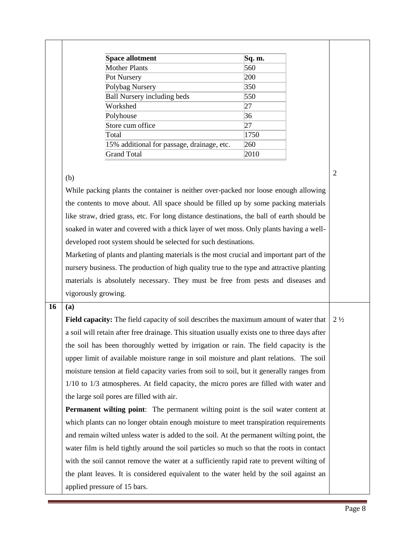| <b>Space allotment</b>                     | Sq. m. |
|--------------------------------------------|--------|
| Mother Plants                              | 560    |
| Pot Nursery                                | 200    |
| Polybag Nursery                            | 350    |
| <b>Ball Nursery including beds</b>         | 550    |
| Workshed                                   | 27     |
| Polyhouse                                  | 36     |
| Store cum office                           | 27     |
| Total                                      | 1750   |
| 15% additional for passage, drainage, etc. | 260    |
| <b>Grand Total</b>                         | 2010   |

#### (b)

While packing plants the container is neither over-packed nor loose enough allowing the contents to move about. All space should be filled up by some packing materials like straw, dried grass, etc. For long distance destinations, the ball of earth should be soaked in water and covered with a thick layer of wet moss. Only plants having a welldeveloped root system should be selected for such destinations.

Marketing of plants and planting materials is the most crucial and important part of the nursery business. The production of high quality true to the type and attractive planting materials is absolutely necessary. They must be free from pests and diseases and vigorously growing.

## **16 (a)**

**Field capacity:** The field capacity of soil describes the maximum amount of water that a soil will retain after free drainage. This situation usually exists one to three days after the soil has been thoroughly wetted by irrigation or rain. The field capacity is the upper limit of available moisture range in soil moisture and plant relations. The soil moisture tension at field capacity varies from soil to soil, but it generally ranges from 1/10 to 1/3 atmospheres. At field capacity, the micro pores are filled with water and the large soil pores are filled with air.  $2\frac{1}{2}$ 

**Permanent wilting point**: The permanent wilting point is the soil water content at which plants can no longer obtain enough moisture to meet transpiration requirements and remain wilted unless water is added to the soil. At the permanent wilting point, the water film is held tightly around the soil particles so much so that the roots in contact with the soil cannot remove the water at a sufficiently rapid rate to prevent wilting of the plant leaves. It is considered equivalent to the water held by the soil against an applied pressure of 15 bars.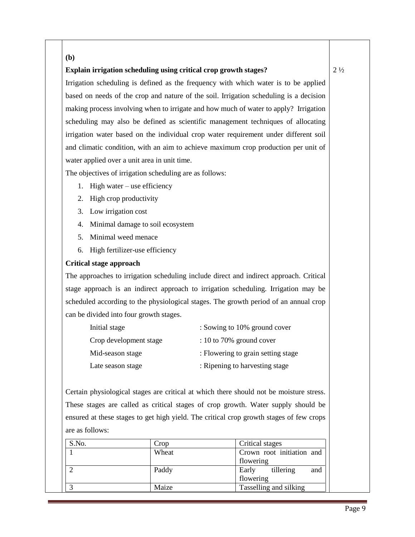#### **(b)**

#### **Explain irrigation scheduling using critical crop growth stages?**

Irrigation scheduling is defined as the frequency with which water is to be applied based on needs of the crop and nature of the soil. Irrigation scheduling is a decision making process involving when to irrigate and how much of water to apply? Irrigation scheduling may also be defined as scientific management techniques of allocating irrigation water based on the individual crop water requirement under different soil and climatic condition, with an aim to achieve maximum crop production per unit of water applied over a unit area in unit time.

The objectives of irrigation scheduling are as follows:

- 1. High water use efficiency
- 2. High crop productivity
- 3. Low irrigation cost
- 4. Minimal damage to soil ecosystem
- 5. Minimal weed menace
- 6. High fertilizer-use efficiency

#### **Critical stage approach**

The approaches to irrigation scheduling include direct and indirect approach. Critical stage approach is an indirect approach to irrigation scheduling. Irrigation may be scheduled according to the physiological stages. The growth period of an annual crop can be divided into four growth stages.

| Initial stage          | : Sowing to 10% ground cover       |
|------------------------|------------------------------------|
| Crop development stage | $: 10$ to 70% ground cover         |
| Mid-season stage       | : Flowering to grain setting stage |
| Late season stage      | : Ripening to harvesting stage     |

Certain physiological stages are critical at which there should not be moisture stress. These stages are called as critical stages of crop growth. Water supply should be ensured at these stages to get high yield. The critical crop growth stages of few crops are as follows:

| S.No. | Crop                        | Critical stages           |
|-------|-----------------------------|---------------------------|
|       | Wheat                       | Crown root initiation and |
|       |                             | flowering                 |
|       | Paddy<br>tillering<br>Early |                           |
|       |                             | flowering                 |
|       | Maize                       | Tasselling and silking    |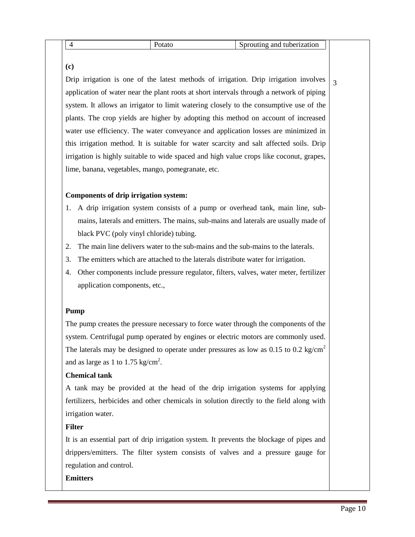|  |  |  |  | ∣ 1 t<br>.<br>анс<br>$\cdot$ |  |
|--|--|--|--|------------------------------|--|
|--|--|--|--|------------------------------|--|

**(c)**

Drip irrigation is one of the latest methods of irrigation. Drip irrigation involves application of water near the plant roots at short intervals through a network of piping system. It allows an irrigator to limit watering closely to the consumptive use of the plants. The crop yields are higher by adopting this method on account of increased water use efficiency. The water conveyance and application losses are minimized in this irrigation method. It is suitable for water scarcity and salt affected soils. Drip irrigation is highly suitable to wide spaced and high value crops like coconut, grapes, lime, banana, vegetables, mango, pomegranate, etc.

## **Components of drip irrigation system:**

- 1. A drip irrigation system consists of a pump or overhead tank, main line, submains, laterals and emitters. The mains, sub-mains and laterals are usually made of black PVC (poly vinyl chloride) tubing.
- 2. The main line delivers water to the sub-mains and the sub-mains to the laterals.
- 3. The emitters which are attached to the laterals distribute water for irrigation.
- 4. Other components include pressure regulator, filters, valves, water meter, fertilizer application components, etc.,

# **Pump**

The pump creates the pressure necessary to force water through the components of the system. Centrifugal pump operated by engines or electric motors are commonly used. The laterals may be designed to operate under pressures as low as  $0.15$  to  $0.2$  kg/cm<sup>2</sup> and as large as 1 to 1.75 kg/cm<sup>2</sup>.

# **Chemical tank**

A tank may be provided at the head of the drip irrigation systems for applying fertilizers, herbicides and other chemicals in solution directly to the field along with irrigation water.

# **Filter**

It is an essential part of drip irrigation system. It prevents the blockage of pipes and drippers/emitters. The filter system consists of valves and a pressure gauge for regulation and control.

## **Emitters**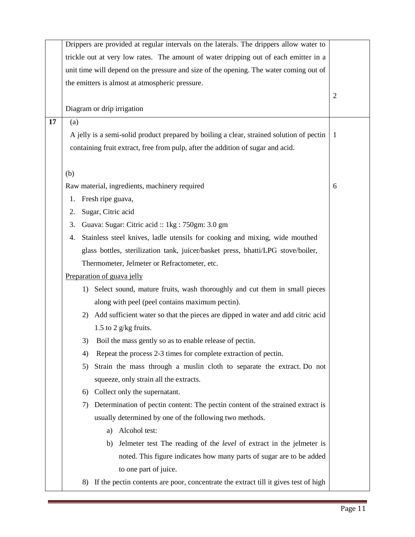|    | Drippers are provided at regular intervals on the laterals. The drippers allow water to                  |  |  |  |  |
|----|----------------------------------------------------------------------------------------------------------|--|--|--|--|
|    | trickle out at very low rates. The amount of water dripping out of each emitter in a                     |  |  |  |  |
|    | unit time will depend on the pressure and size of the opening. The water coming out of                   |  |  |  |  |
|    | the emitters is almost at atmospheric pressure.                                                          |  |  |  |  |
|    |                                                                                                          |  |  |  |  |
|    | Diagram or drip irrigation                                                                               |  |  |  |  |
| 17 | (a)                                                                                                      |  |  |  |  |
|    | A jelly is a semi-solid product prepared by boiling a clear, strained solution of pectin<br>$\mathbf{1}$ |  |  |  |  |
|    | containing fruit extract, free from pulp, after the addition of sugar and acid.                          |  |  |  |  |
|    |                                                                                                          |  |  |  |  |
|    | (b)                                                                                                      |  |  |  |  |
|    | Raw material, ingredients, machinery required                                                            |  |  |  |  |
|    | Fresh ripe guava,<br>1.                                                                                  |  |  |  |  |
|    | Sugar, Citric acid<br>2.                                                                                 |  |  |  |  |
|    | Guava: Sugar: Citric acid :: 1kg : 750gm: 3.0 gm<br>3.                                                   |  |  |  |  |
|    | Stainless steel knives, ladle utensils for cooking and mixing, wide mouthed<br>4.                        |  |  |  |  |
|    | glass bottles, sterilization tank, juicer/basket press, bhatti/LPG stove/boiler,                         |  |  |  |  |
|    | Thermometer, Jelmeter or Refractometer, etc.                                                             |  |  |  |  |
|    | Preparation of guava jelly                                                                               |  |  |  |  |
|    | 1) Select sound, mature fruits, wash thoroughly and cut them in small pieces                             |  |  |  |  |
|    | along with peel (peel contains maximum pectin).                                                          |  |  |  |  |
|    | Add sufficient water so that the pieces are dipped in water and add citric acid<br>2)                    |  |  |  |  |
|    | 1.5 to 2 $g/kg$ fruits.                                                                                  |  |  |  |  |
|    | Boil the mass gently so as to enable release of pectin.<br>3)                                            |  |  |  |  |
|    | Repeat the process 2-3 times for complete extraction of pectin.<br>4)                                    |  |  |  |  |
|    | Strain the mass through a muslin cloth to separate the extract. Do not<br>5)                             |  |  |  |  |
|    | squeeze, only strain all the extracts.                                                                   |  |  |  |  |
|    | Collect only the supernatant.<br>6)                                                                      |  |  |  |  |
|    | Determination of pectin content: The pectin content of the strained extract is<br>7)                     |  |  |  |  |
|    | usually determined by one of the following two methods.                                                  |  |  |  |  |
|    | Alcohol test:<br>a)                                                                                      |  |  |  |  |
|    | b) Jelmeter test The reading of the <i>level</i> of extract in the jelmeter is                           |  |  |  |  |
|    | noted. This figure indicates how many parts of sugar are to be added                                     |  |  |  |  |
|    | to one part of juice.                                                                                    |  |  |  |  |
|    | If the pectin contents are poor, concentrate the extract till it gives test of high<br>8)                |  |  |  |  |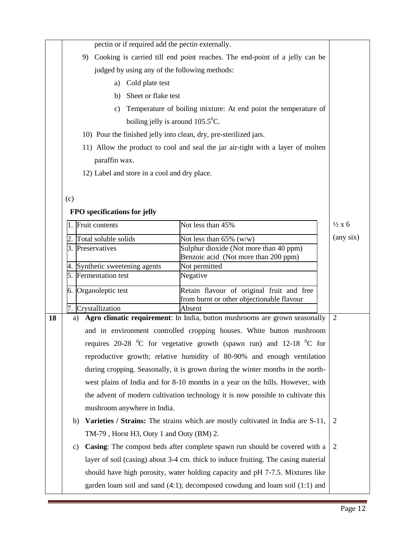|    | pectin or if required add the pectin externally.                                                       |  |                             |                                                                                  |  |                    |
|----|--------------------------------------------------------------------------------------------------------|--|-----------------------------|----------------------------------------------------------------------------------|--|--------------------|
|    | 9) Cooking is carried till end point reaches. The end-point of a jelly can be                          |  |                             |                                                                                  |  |                    |
|    |                                                                                                        |  |                             |                                                                                  |  |                    |
|    | judged by using any of the following methods:                                                          |  |                             |                                                                                  |  |                    |
|    | Cold plate test<br>a)                                                                                  |  |                             |                                                                                  |  |                    |
|    | Sheet or flake test<br>b)                                                                              |  |                             |                                                                                  |  |                    |
|    | Temperature of boiling mixture: At end point the temperature of<br>c)                                  |  |                             |                                                                                  |  |                    |
|    | boiling jelly is around $105.5^{\circ}$ C.                                                             |  |                             |                                                                                  |  |                    |
|    | 10) Pour the finished jelly into clean, dry, pre-sterilized jars.                                      |  |                             |                                                                                  |  |                    |
|    | 11) Allow the product to cool and seal the jar air-tight with a layer of molten                        |  |                             |                                                                                  |  |                    |
|    | paraffin wax.                                                                                          |  |                             |                                                                                  |  |                    |
|    | 12) Label and store in a cool and dry place.                                                           |  |                             |                                                                                  |  |                    |
|    |                                                                                                        |  |                             |                                                                                  |  |                    |
|    | (c)                                                                                                    |  |                             |                                                                                  |  |                    |
|    | FPO specifications for jelly                                                                           |  |                             |                                                                                  |  |                    |
|    | Fruit contents<br>Not less than 45%                                                                    |  |                             |                                                                                  |  | $\frac{1}{2}x$ 6   |
|    |                                                                                                        |  | Total soluble solids        |                                                                                  |  | $(\text{any six})$ |
|    |                                                                                                        |  | 3. Preservatives            | Not less than $65\%$ (w/w)<br>Sulphur dioxide (Not more than 40 ppm)             |  |                    |
|    |                                                                                                        |  |                             | Benzoic acid (Not more than 200 ppm)                                             |  |                    |
|    | 4.                                                                                                     |  | Synthetic sweetening agents | Not permitted                                                                    |  |                    |
|    |                                                                                                        |  | 5. Fermentation test        | Negative                                                                         |  |                    |
|    |                                                                                                        |  | 6. Organoleptic test        | Retain flavour of original fruit and free                                        |  |                    |
|    |                                                                                                        |  |                             | from burnt or other objectionable flavour<br>Absent                              |  |                    |
| 18 | 7. Crystallization<br>Agro climatic requirement: In India, button mushrooms are grown seasonally<br>a) |  |                             |                                                                                  |  |                    |
|    |                                                                                                        |  |                             | and in environment controlled cropping houses. White button mushroom             |  |                    |
|    | requires $20-28$ <sup>o</sup> C for vegetative growth (spawn run) and 12-18 <sup>o</sup> C for         |  |                             |                                                                                  |  |                    |
|    |                                                                                                        |  |                             |                                                                                  |  |                    |
|    | reproductive growth; relative humidity of 80-90% and enough ventilation                                |  |                             |                                                                                  |  |                    |
|    | during cropping. Seasonally, it is grown during the winter months in the north-                        |  |                             |                                                                                  |  |                    |
|    | west plains of India and for 8-10 months in a year on the hills. However, with                         |  |                             |                                                                                  |  |                    |
|    | the advent of modern cultivation technology it is now possible to cultivate this                       |  |                             |                                                                                  |  |                    |
|    | mushroom anywhere in India.                                                                            |  |                             |                                                                                  |  |                    |
|    | Varieties / Strains: The strains which are mostly cultivated in India are S-11,<br>b)                  |  |                             |                                                                                  |  |                    |
|    | TM-79, Horst H3, Ooty 1 and Ooty (BM) 2.                                                               |  |                             |                                                                                  |  |                    |
|    | Casing: The compost beds after complete spawn run should be covered with a<br>C)                       |  |                             |                                                                                  |  | $\overline{2}$     |
|    | layer of soil (casing) about 3-4 cm. thick to induce fruiting. The casing material                     |  |                             |                                                                                  |  |                    |
|    | should have high porosity, water holding capacity and pH 7-7.5. Mixtures like                          |  |                             |                                                                                  |  |                    |
|    |                                                                                                        |  |                             | garden loam soil and sand $(4:1)$ ; decomposed cowdung and loam soil $(1:1)$ and |  |                    |
|    |                                                                                                        |  |                             |                                                                                  |  |                    |